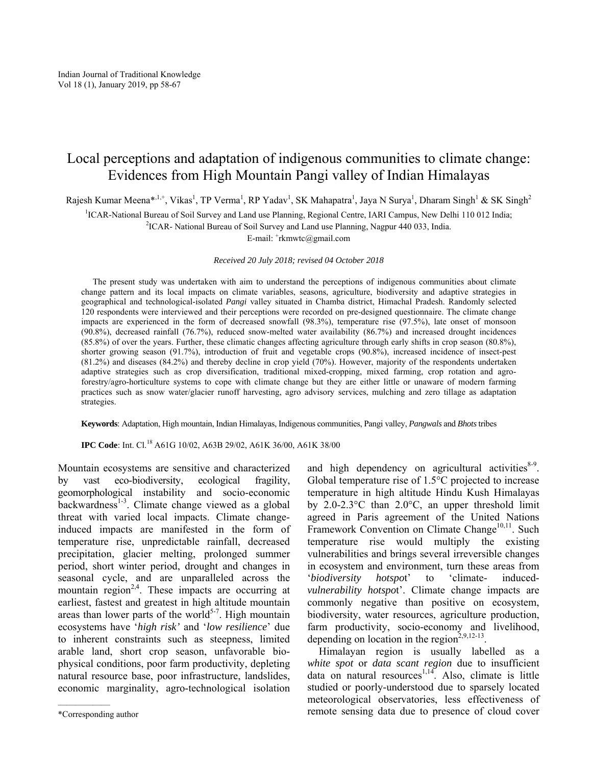## Local perceptions and adaptation of indigenous communities to climate change: Evidences from High Mountain Pangi valley of Indian Himalayas

Rajesh Kumar Meena\*<sup>,1,+</sup>, Vikas<sup>1</sup>, TP Verma<sup>1</sup>, RP Yadav<sup>1</sup>, SK Mahapatra<sup>1</sup>, Jaya N Surya<sup>1</sup>, Dharam Singh<sup>1</sup> & SK Singh<sup>2</sup>

<sup>1</sup>ICAR-National Bureau of Soil Survey and Land use Planning, Regional Centre, IARI Campus, New Delhi 110 012 India;<br><sup>2</sup>ICAR, National Bureau of Soil Survey and Land use Planning, Nagpur 440.033, India

<sup>2</sup>ICAR- National Bureau of Soil Survey and Land use Planning, Nagpur 440 033, India.

E-mail: <sup>+</sup>rkmwtc@gmail.com

*Received 20 July 2018; revised 04 October 2018* 

The present study was undertaken with aim to understand the perceptions of indigenous communities about climate change pattern and its local impacts on climate variables, seasons, agriculture, biodiversity and adaptive strategies in geographical and technological-isolated *Pangi* valley situated in Chamba district, Himachal Pradesh. Randomly selected 120 respondents were interviewed and their perceptions were recorded on pre-designed questionnaire. The climate change impacts are experienced in the form of decreased snowfall (98.3%), temperature rise (97.5%), late onset of monsoon (90.8%), decreased rainfall (76.7%), reduced snow-melted water availability (86.7%) and increased drought incidences (85.8%) of over the years. Further, these climatic changes affecting agriculture through early shifts in crop season (80.8%), shorter growing season (91.7%), introduction of fruit and vegetable crops (90.8%), increased incidence of insect-pest (81.2%) and diseases (84.2%) and thereby decline in crop yield (70%). However, majority of the respondents undertaken adaptive strategies such as crop diversification, traditional mixed-cropping, mixed farming, crop rotation and agroforestry/agro-horticulture systems to cope with climate change but they are either little or unaware of modern farming practices such as snow water/glacier runoff harvesting, agro advisory services, mulching and zero tillage as adaptation strategies.

**Keywords**: Adaptation, High mountain, Indian Himalayas, Indigenous communities, Pangi valley, *Pangwals* and *Bhots* tribes

**IPC Code**: Int. Cl.18 A61G 10/02, A63B 29/02, A61K 36/00, A61K 38/00

Mountain ecosystems are sensitive and characterized by vast eco-biodiversity, ecological fragility, geomorphological instability and socio-economic  $backwards<sup>1-3</sup>$ . Climate change viewed as a global threat with varied local impacts. Climate changeinduced impacts are manifested in the form of temperature rise, unpredictable rainfall, decreased precipitation, glacier melting, prolonged summer period, short winter period, drought and changes in seasonal cycle, and are unparalleled across the mountain region<sup>2,4</sup>. These impacts are occurring at earliest, fastest and greatest in high altitude mountain areas than lower parts of the world<sup>5-7</sup>. High mountain ecosystems have '*high risk'* and '*low resilience*' due to inherent constraints such as steepness, limited arable land, short crop season, unfavorable biophysical conditions, poor farm productivity, depleting natural resource base, poor infrastructure, landslides, economic marginality, agro-technological isolation

and high dependency on agricultural activities<sup>8-9</sup>. Global temperature rise of 1.5°C projected to increase temperature in high altitude Hindu Kush Himalayas by 2.0-2.3°C than 2.0°C, an upper threshold limit agreed in Paris agreement of the United Nations Framework Convention on Climate Change<sup>10,11</sup>. Such temperature rise would multiply the existing vulnerabilities and brings several irreversible changes in ecosystem and environment, turn these areas from '*biodiversity hotspo*t' to 'climate- induced*vulnerability hotspo*t'. Climate change impacts are commonly negative than positive on ecosystem, biodiversity, water resources, agriculture production, farm productivity, socio-economy and livelihood, depending on location in the region<sup>2,9,12-13</sup>.

Himalayan region is usually labelled as a *white spot* or *data scant region* due to insufficient data on natural resources<sup> $1,14$ </sup>. Also, climate is little studied or poorly-understood due to sparsely located meteorological observatories, less effectiveness of remote sensing data due to presence of cloud cover

<sup>\*</sup>Corresponding author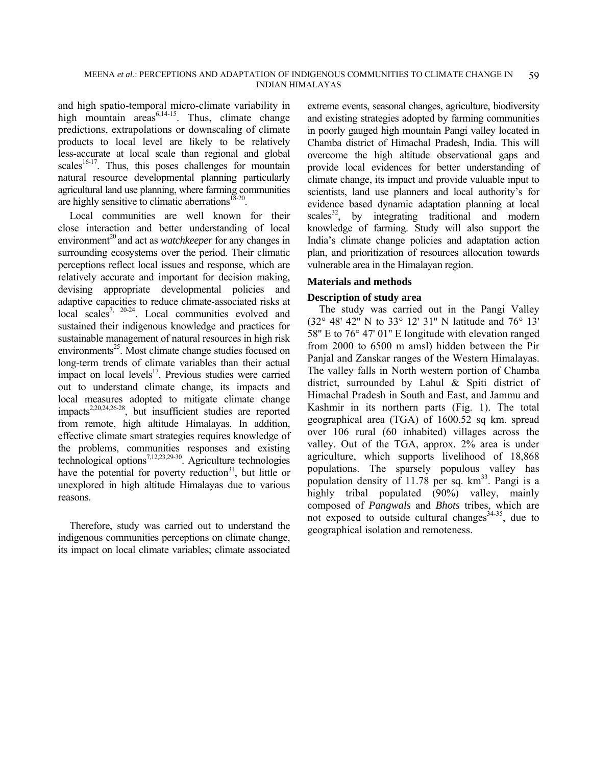and high spatio-temporal micro-climate variability in high mountain  $\arccos^{6,14-15}$ . Thus, climate change predictions, extrapolations or downscaling of climate products to local level are likely to be relatively less-accurate at local scale than regional and global scales<sup>16-17</sup>. Thus, this poses challenges for mountain natural resource developmental planning particularly agricultural land use planning, where farming communities are highly sensitive to climatic aberrations $18-20$ .

Local communities are well known for their close interaction and better understanding of local environment<sup>20</sup> and act as *watchkeeper* for any changes in surrounding ecosystems over the period. Their climatic perceptions reflect local issues and response, which are relatively accurate and important for decision making, devising appropriate developmental policies and adaptive capacities to reduce climate-associated risks at local scales<sup>7, 20-24</sup>. Local communities evolved and sustained their indigenous knowledge and practices for sustainable management of natural resources in high risk environments<sup>25</sup>. Most climate change studies focused on long-term trends of climate variables than their actual impact on local levels $17$ . Previous studies were carried out to understand climate change, its impacts and local measures adopted to mitigate climate change impacts<sup>2,20,24,26-28</sup>, but insufficient studies are reported from remote, high altitude Himalayas. In addition, effective climate smart strategies requires knowledge of the problems, communities responses and existing technological options<sup>7,12,23,29-30</sup>. Agriculture technologies have the potential for poverty reduction<sup>31</sup>, but little or unexplored in high altitude Himalayas due to various reasons.

Therefore, study was carried out to understand the indigenous communities perceptions on climate change, its impact on local climate variables; climate associated

extreme events, seasonal changes, agriculture, biodiversity and existing strategies adopted by farming communities in poorly gauged high mountain Pangi valley located in Chamba district of Himachal Pradesh, India. This will overcome the high altitude observational gaps and provide local evidences for better understanding of climate change, its impact and provide valuable input to scientists, land use planners and local authority's for evidence based dynamic adaptation planning at local  $scales<sup>32</sup>$ , by integrating traditional and modern knowledge of farming. Study will also support the India's climate change policies and adaptation action plan, and prioritization of resources allocation towards vulnerable area in the Himalayan region.

#### **Materials and methods**

#### **Description of study area**

The study was carried out in the Pangi Valley (32° 48' 42'' N to 33° 12' 31'' N latitude and 76° 13' 58'' E to 76° 47' 01'' E longitude with elevation ranged from 2000 to 6500 m amsl) hidden between the Pir Panjal and Zanskar ranges of the Western Himalayas. The valley falls in North western portion of Chamba district, surrounded by Lahul & Spiti district of Himachal Pradesh in South and East, and Jammu and Kashmir in its northern parts (Fig. 1). The total geographical area (TGA) of 1600.52 sq km. spread over 106 rural (60 inhabited) villages across the valley. Out of the TGA, approx. 2% area is under agriculture, which supports livelihood of 18,868 populations. The sparsely populous valley has population density of  $11.78$  per sq.  $km<sup>33</sup>$ . Pangi is a highly tribal populated (90%) valley, mainly composed of *Pangwals* and *Bhots* tribes, which are not exposed to outside cultural changes<sup>34-35</sup>, due to geographical isolation and remoteness.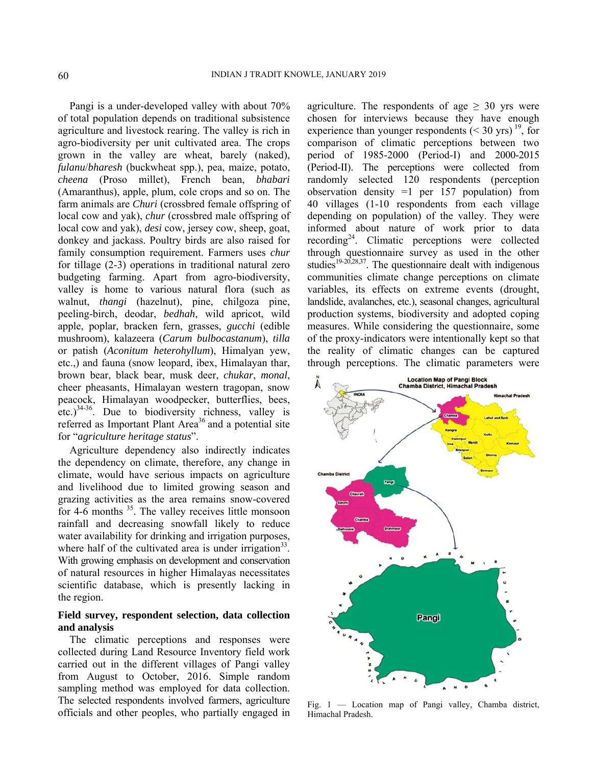Pangi is a under-developed valley with about 70% of total population depends on traditional subsistence agriculture and livestock rearing. The valley is rich in agro-biodiversity per unit cultivated area. The crops grown in the valley are wheat, barely (naked), *fulanu/bharesh* (buckwheat spp.), pea, maize, potato, *cheena* (Proso millet), French bean, *bhabari* (Amaranthus), apple, plum, cole crops and so on. The farm animals are *Churi* (crossbred female offspring of local cow and yak), *chur* (crossbred male offspring of local cow and yak), *desi* cow, jersey cow, sheep, goat, donkey and jackass. Poultry birds are also raised for family consumption requirement. Farmers uses *chur* for tillage (2-3) operations in traditional natural zero budgeting farming. Apart from agro-biodiversity, valley is home to various natural flora (such as walnut, *thangi* (hazelnut), pine, chilgoza pine, peeling-birch, deodar, *bedhah*, wild apricot, wild apple, poplar, bracken fern, grasses, *gucchi* (edible mushroom), kalazeera (*Carum bulbocastanum*), *tilla* or patish (*Aconitum heterohyllum*), Himalyan yew, etc.,) and fauna (snow leopard, ibex, Himalayan thar, brown bear, black bear, musk deer, *chukar*, *monal*, cheer pheasants, Himalayan western tragopan, snow peacock, Himalayan woodpecker, butterflies, bees, etc.)34-36. Due to biodiversity richness, valley is referred as Important Plant Area<sup>36</sup> and a potential site for "*agriculture heritage status*".

Agriculture dependency also indirectly indicates the dependency on climate, therefore, any change in climate, would have serious impacts on agriculture and livelihood due to limited growing season and grazing activities as the area remains snow-covered for  $4-6$  months  $35$ . The valley receives little monsoon rainfall and decreasing snowfall likely to reduce water availability for drinking and irrigation purposes, where half of the cultivated area is under irrigation<sup>33</sup>. With growing emphasis on development and conservation of natural resources in higher Himalayas necessitates scientific database, which is presently lacking in the region.

#### **Field survey, respondent selection, data collection and analysis**

The climatic perceptions and responses were collected during Land Resource Inventory field work carried out in the different villages of Pangi valley from August to October, 2016. Simple random sampling method was employed for data collection. The selected respondents involved farmers, agriculture officials and other peoples, who partially engaged in

agriculture. The respondents of age  $\geq$  30 yrs were chosen for interviews because they have enough experience than younger respondents  $(< 30$  yrs) <sup>19</sup>, for comparison of climatic perceptions between two period of 1985-2000 (Period-I) and 2000-2015 (Period-II). The perceptions were collected from randomly selected 120 respondents (perception observation density =1 per 157 population) from 40 villages (1-10 respondents from each village depending on population) of the valley. They were informed about nature of work prior to data recording24. Climatic perceptions were collected through questionnaire survey as used in the other studies<sup>19-20,28,37</sup>. The questionnaire dealt with indigenous communities climate change perceptions on climate variables, its effects on extreme events (drought, landslide, avalanches, etc.), seasonal changes, agricultural production systems, biodiversity and adopted coping measures. While considering the questionnaire, some of the proxy-indicators were intentionally kept so that the reality of climatic changes can be captured through perceptions. The climatic parameters were



Fig. 1 — Location map of Pangi valley, Chamba district, Himachal Pradesh.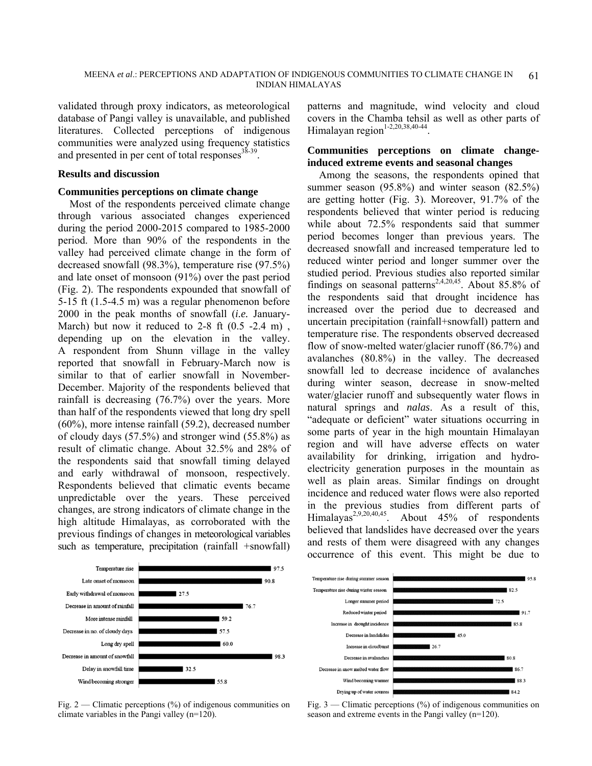validated through proxy indicators, as meteorological database of Pangi valley is unavailable, and published literatures. Collected perceptions of indigenous communities were analyzed using frequency statistics and presented in per cent of total responses $^{38-39}$ .

#### **Results and discussion**

#### **Communities perceptions on climate change**

Most of the respondents perceived climate change through various associated changes experienced during the period 2000-2015 compared to 1985-2000 period. More than 90% of the respondents in the valley had perceived climate change in the form of decreased snowfall (98.3%), temperature rise (97.5%) and late onset of monsoon (91%) over the past period (Fig. 2). The respondents expounded that snowfall of 5-15 ft (1.5-4.5 m) was a regular phenomenon before 2000 in the peak months of snowfall (*i.e.* January-March) but now it reduced to 2-8 ft  $(0.5 - 2.4$  m), depending up on the elevation in the valley. A respondent from Shunn village in the valley reported that snowfall in February-March now is similar to that of earlier snowfall in November-December. Majority of the respondents believed that rainfall is decreasing (76.7%) over the years. More than half of the respondents viewed that long dry spell (60%), more intense rainfall (59.2), decreased number of cloudy days (57.5%) and stronger wind (55.8%) as result of climatic change. About 32.5% and 28% of the respondents said that snowfall timing delayed and early withdrawal of monsoon, respectively. Respondents believed that climatic events became unpredictable over the years. These perceived changes, are strong indicators of climate change in the high altitude Himalayas, as corroborated with the previous findings of changes in meteorological variables such as temperature, precipitation (rainfall +snowfall)

patterns and magnitude, wind velocity and cloud covers in the Chamba tehsil as well as other parts of Himalayan region<sup>1-2,20,38,40-44</sup>

#### **Communities perceptions on climate changeinduced extreme events and seasonal changes**

Among the seasons, the respondents opined that summer season (95.8%) and winter season (82.5%) are getting hotter (Fig. 3). Moreover, 91.7% of the respondents believed that winter period is reducing while about 72.5% respondents said that summer period becomes longer than previous years. The decreased snowfall and increased temperature led to reduced winter period and longer summer over the studied period. Previous studies also reported similar findings on seasonal patterns<sup>2,4,20,45</sup>. About 85.8% of the respondents said that drought incidence has increased over the period due to decreased and uncertain precipitation (rainfall+snowfall) pattern and temperature rise. The respondents observed decreased flow of snow-melted water/glacier runoff (86.7%) and avalanches (80.8%) in the valley. The decreased snowfall led to decrease incidence of avalanches during winter season, decrease in snow-melted water/glacier runoff and subsequently water flows in natural springs and *nalas*. As a result of this, "adequate or deficient" water situations occurring in some parts of year in the high mountain Himalayan region and will have adverse effects on water availability for drinking, irrigation and hydroelectricity generation purposes in the mountain as well as plain areas. Similar findings on drought incidence and reduced water flows were also reported in the previous studies from different parts of Himalayas<sup>2,9,20,40,45</sup>. About 45% of respondents believed that landslides have decreased over the years and rests of them were disagreed with any changes occurrence of this event. This might be due to



Fig. 2 — Climatic perceptions  $\binom{9}{0}$  of indigenous communities on climate variables in the Pangi valley (n=120).



Fig. 3 — Climatic perceptions (%) of indigenous communities on season and extreme events in the Pangi valley (n=120).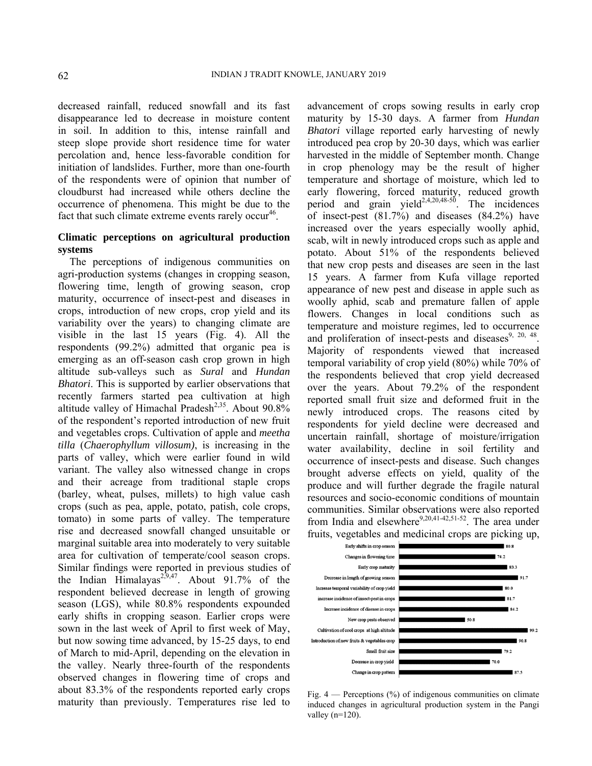decreased rainfall, reduced snowfall and its fast disappearance led to decrease in moisture content in soil. In addition to this, intense rainfall and steep slope provide short residence time for water percolation and, hence less-favorable condition for initiation of landslides. Further, more than one-fourth of the respondents were of opinion that number of cloudburst had increased while others decline the occurrence of phenomena. This might be due to the fact that such climate extreme events rarely  $occur<sup>46</sup>$ .

#### **Climatic perceptions on agricultural production systems**

The perceptions of indigenous communities on agri-production systems (changes in cropping season, flowering time, length of growing season, crop maturity, occurrence of insect-pest and diseases in crops, introduction of new crops, crop yield and its variability over the years) to changing climate are visible in the last 15 years (Fig. 4). All the respondents (99.2%) admitted that organic pea is emerging as an off-season cash crop grown in high altitude sub-valleys such as *Sural* and *Hundan Bhatori*. This is supported by earlier observations that recently farmers started pea cultivation at high altitude valley of Himachal Pradesh<sup>2,35</sup>. About  $90.8\%$ of the respondent's reported introduction of new fruit and vegetables crops. Cultivation of apple and *meetha tilla* (*Chaerophyllum villosum)*, is increasing in the parts of valley, which were earlier found in wild variant. The valley also witnessed change in crops and their acreage from traditional staple crops (barley, wheat, pulses, millets) to high value cash crops (such as pea, apple, potato, patish, cole crops, tomato) in some parts of valley. The temperature rise and decreased snowfall changed unsuitable or marginal suitable area into moderately to very suitable area for cultivation of temperate/cool season crops. Similar findings were reported in previous studies of the Indian Himalayas<sup>2,9,47</sup>. About 91.7% of the respondent believed decrease in length of growing season (LGS), while 80.8% respondents expounded early shifts in cropping season. Earlier crops were sown in the last week of April to first week of May, but now sowing time advanced, by 15-25 days, to end of March to mid-April, depending on the elevation in the valley. Nearly three-fourth of the respondents observed changes in flowering time of crops and about 83.3% of the respondents reported early crops maturity than previously. Temperatures rise led to

advancement of crops sowing results in early crop maturity by 15-30 days. A farmer from *Hundan Bhatori* village reported early harvesting of newly introduced pea crop by 20-30 days, which was earlier harvested in the middle of September month. Change in crop phenology may be the result of higher temperature and shortage of moisture, which led to early flowering, forced maturity, reduced growth period and grain yield<sup>2,4,20,48-50</sup>. The incidences of insect-pest (81.7%) and diseases (84.2%) have increased over the years especially woolly aphid, scab, wilt in newly introduced crops such as apple and potato. About 51% of the respondents believed that new crop pests and diseases are seen in the last 15 years. A farmer from Kufa village reported appearance of new pest and disease in apple such as woolly aphid, scab and premature fallen of apple flowers. Changes in local conditions such as temperature and moisture regimes, led to occurrence and proliferation of insect-pests and diseases $9, 20, 48$ . Majority of respondents viewed that increased temporal variability of crop yield (80%) while 70% of the respondents believed that crop yield decreased over the years. About 79.2% of the respondent reported small fruit size and deformed fruit in the newly introduced crops. The reasons cited by respondents for yield decline were decreased and uncertain rainfall, shortage of moisture/irrigation water availability, decline in soil fertility and occurrence of insect-pests and disease. Such changes brought adverse effects on yield, quality of the produce and will further degrade the fragile natural resources and socio-economic conditions of mountain communities. Similar observations were also reported from India and elsewhere $9,20,41-42,51-52$ . The area under fruits, vegetables and medicinal crops are picking up,



Fig.  $4$  — Perceptions (%) of indigenous communities on climate induced changes in agricultural production system in the Pangi valley  $(n=120)$ .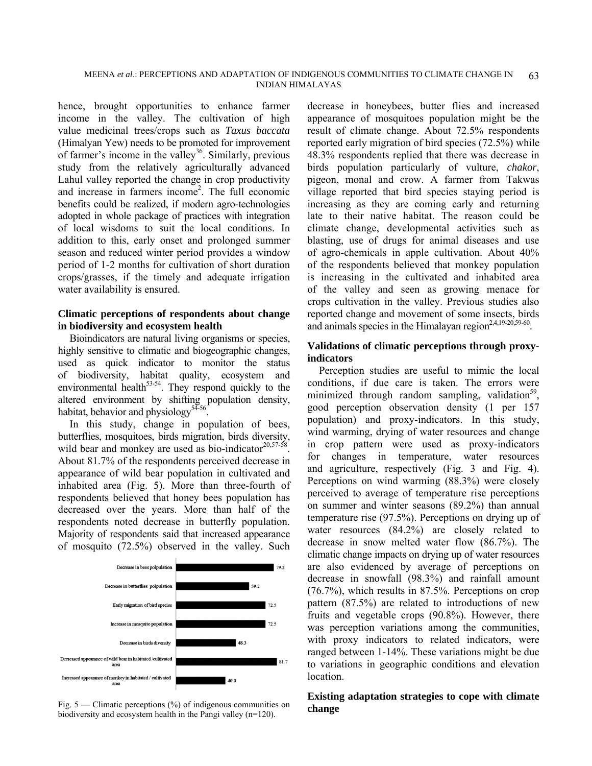hence, brought opportunities to enhance farmer income in the valley. The cultivation of high value medicinal trees/crops such as *Taxus baccata* (Himalyan Yew) needs to be promoted for improvement of farmer's income in the valley<sup>36</sup>. Similarly, previous study from the relatively agriculturally advanced Lahul valley reported the change in crop productivity and increase in farmers income2 . The full economic benefits could be realized, if modern agro-technologies adopted in whole package of practices with integration of local wisdoms to suit the local conditions. In addition to this, early onset and prolonged summer season and reduced winter period provides a window period of 1-2 months for cultivation of short duration crops/grasses, if the timely and adequate irrigation water availability is ensured.

### **Climatic perceptions of respondents about change in biodiversity and ecosystem health**

Bioindicators are natural living organisms or species, highly sensitive to climatic and biogeographic changes, used as quick indicator to monitor the status of biodiversity, habitat quality, ecosystem and environmental health $53-54$ . They respond quickly to the altered environment by shifting population density, habitat, behavior and physiology<sup>54-56</sup>

In this study, change in population of bees, butterflies, mosquitoes, birds migration, birds diversity, wild bear and monkey are used as bio-indicator $20,57-58$ . About 81.7% of the respondents perceived decrease in appearance of wild bear population in cultivated and inhabited area (Fig. 5). More than three-fourth of respondents believed that honey bees population has decreased over the years. More than half of the respondents noted decrease in butterfly population. Majority of respondents said that increased appearance of mosquito (72.5%) observed in the valley. Such



Fig. 5 — Climatic perceptions (%) of indigenous communities on **change** biodiversity and ecosystem health in the Pangi valley (n=120).

decrease in honeybees, butter flies and increased appearance of mosquitoes population might be the result of climate change. About 72.5% respondents reported early migration of bird species (72.5%) while 48.3% respondents replied that there was decrease in birds population particularly of vulture, *chakor*, pigeon, monal and crow. A farmer from Takwas village reported that bird species staying period is increasing as they are coming early and returning late to their native habitat. The reason could be climate change, developmental activities such as blasting, use of drugs for animal diseases and use of agro-chemicals in apple cultivation. About 40% of the respondents believed that monkey population is increasing in the cultivated and inhabited area of the valley and seen as growing menace for crops cultivation in the valley. Previous studies also reported change and movement of some insects, birds and animals species in the Himalayan region<sup>2,4,19-20,59-60</sup>.

## **Validations of climatic perceptions through proxyindicators**

Perception studies are useful to mimic the local conditions, if due care is taken. The errors were minimized through random sampling, validation<sup>59</sup>. good perception observation density (1 per 157 population) and proxy-indicators. In this study, wind warming, drying of water resources and change in crop pattern were used as proxy-indicators for changes in temperature, water resources and agriculture, respectively (Fig. 3 and Fig. 4). Perceptions on wind warming (88.3%) were closely perceived to average of temperature rise perceptions on summer and winter seasons (89.2%) than annual temperature rise (97.5%). Perceptions on drying up of water resources (84.2%) are closely related to decrease in snow melted water flow (86.7%). The climatic change impacts on drying up of water resources are also evidenced by average of perceptions on decrease in snowfall (98.3%) and rainfall amount (76.7%), which results in 87.5%. Perceptions on crop pattern (87.5%) are related to introductions of new fruits and vegetable crops (90.8%). However, there was perception variations among the communities, with proxy indicators to related indicators, were ranged between 1-14%. These variations might be due to variations in geographic conditions and elevation location.

# **Existing adaptation strategies to cope with climate**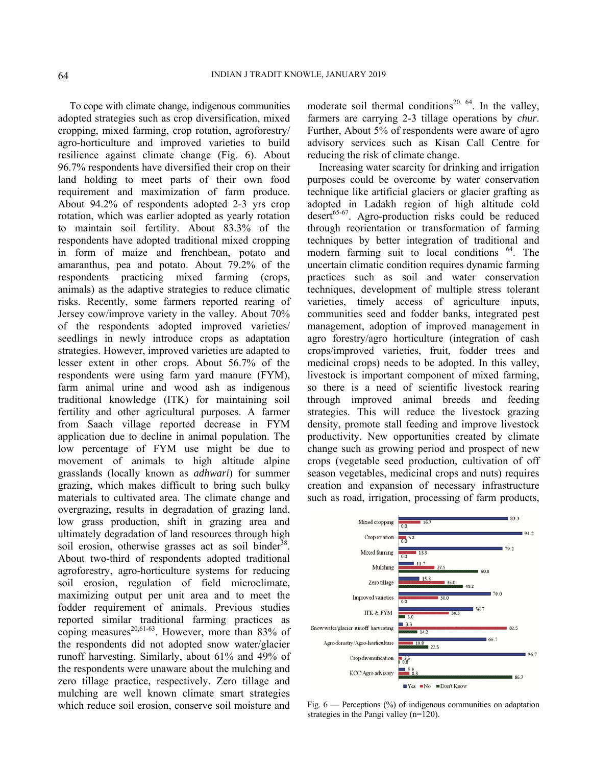To cope with climate change, indigenous communities adopted strategies such as crop diversification, mixed cropping, mixed farming, crop rotation, agroforestry/ agro-horticulture and improved varieties to build resilience against climate change (Fig. 6). About 96.7% respondents have diversified their crop on their land holding to meet parts of their own food requirement and maximization of farm produce. About 94.2% of respondents adopted 2-3 yrs crop rotation, which was earlier adopted as yearly rotation to maintain soil fertility. About 83.3% of the respondents have adopted traditional mixed cropping in form of maize and frenchbean, potato and amaranthus, pea and potato. About 79.2% of the respondents practicing mixed farming (crops, animals) as the adaptive strategies to reduce climatic risks. Recently, some farmers reported rearing of Jersey cow/improve variety in the valley. About 70% of the respondents adopted improved varieties/ seedlings in newly introduce crops as adaptation strategies. However, improved varieties are adapted to lesser extent in other crops. About 56.7% of the respondents were using farm yard manure (FYM), farm animal urine and wood ash as indigenous traditional knowledge (ITK) for maintaining soil fertility and other agricultural purposes. A farmer from Saach village reported decrease in FYM application due to decline in animal population. The low percentage of FYM use might be due to movement of animals to high altitude alpine grasslands (locally known as *adhwari*) for summer grazing, which makes difficult to bring such bulky materials to cultivated area. The climate change and overgrazing, results in degradation of grazing land, low grass production, shift in grazing area and ultimately degradation of land resources through high soil erosion, otherwise grasses act as soil binder<sup>38</sup>. About two-third of respondents adopted traditional agroforestry, agro-horticulture systems for reducing soil erosion, regulation of field microclimate, maximizing output per unit area and to meet the fodder requirement of animals. Previous studies reported similar traditional farming practices as coping measures<sup>20,61-63</sup>. However, more than 83% of the respondents did not adopted snow water/glacier runoff harvesting. Similarly, about 61% and 49% of the respondents were unaware about the mulching and zero tillage practice, respectively. Zero tillage and mulching are well known climate smart strategies which reduce soil erosion, conserve soil moisture and

moderate soil thermal conditions<sup>20, 64</sup>. In the valley, farmers are carrying 2-3 tillage operations by *chur*. Further, About 5% of respondents were aware of agro advisory services such as Kisan Call Centre for reducing the risk of climate change.

Increasing water scarcity for drinking and irrigation purposes could be overcome by water conservation technique like artificial glaciers or glacier grafting as adopted in Ladakh region of high altitude cold  $desert^{65-67}$ . Agro-production risks could be reduced through reorientation or transformation of farming techniques by better integration of traditional and modern farming suit to local conditions  $^{64}$ . The uncertain climatic condition requires dynamic farming practices such as soil and water conservation techniques, development of multiple stress tolerant varieties, timely access of agriculture inputs, communities seed and fodder banks, integrated pest management, adoption of improved management in agro forestry/agro horticulture (integration of cash crops/improved varieties, fruit, fodder trees and medicinal crops) needs to be adopted. In this valley, livestock is important component of mixed farming, so there is a need of scientific livestock rearing through improved animal breeds and feeding strategies. This will reduce the livestock grazing density, promote stall feeding and improve livestock productivity. New opportunities created by climate change such as growing period and prospect of new crops (vegetable seed production, cultivation of off season vegetables, medicinal crops and nuts) requires creation and expansion of necessary infrastructure such as road, irrigation, processing of farm products,



Fig.  $6$  — Perceptions  $\binom{0}{0}$  of indigenous communities on adaptation strategies in the Pangi valley (n=120).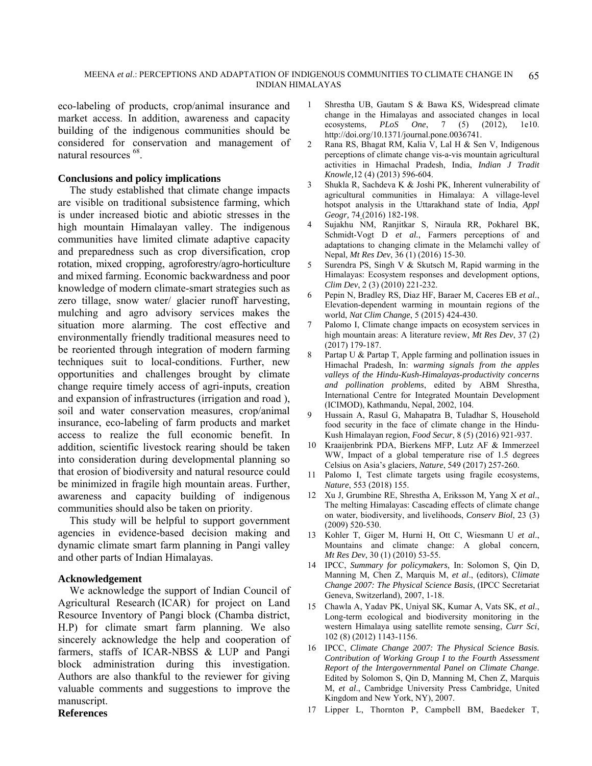#### MEENA *et al*.: PERCEPTIONS AND ADAPTATION OF INDIGENOUS COMMUNITIES TO CLIMATE CHANGE IN INDIAN HIMALAYAS 65

eco-labeling of products, crop/animal insurance and market access. In addition, awareness and capacity building of the indigenous communities should be considered for conservation and management of natural resources <sup>68</sup>.

#### **Conclusions and policy implications**

The study established that climate change impacts are visible on traditional subsistence farming, which is under increased biotic and abiotic stresses in the high mountain Himalayan valley. The indigenous communities have limited climate adaptive capacity and preparedness such as crop diversification, crop rotation, mixed cropping, agroforestry/agro-horticulture and mixed farming. Economic backwardness and poor knowledge of modern climate-smart strategies such as zero tillage, snow water/ glacier runoff harvesting, mulching and agro advisory services makes the situation more alarming. The cost effective and environmentally friendly traditional measures need to be reoriented through integration of modern farming techniques suit to local-conditions. Further, new opportunities and challenges brought by climate change require timely access of agri-inputs, creation and expansion of infrastructures (irrigation and road ), soil and water conservation measures, crop/animal insurance, eco-labeling of farm products and market access to realize the full economic benefit. In addition, scientific livestock rearing should be taken into consideration during developmental planning so that erosion of biodiversity and natural resource could be minimized in fragile high mountain areas. Further, awareness and capacity building of indigenous communities should also be taken on priority.

This study will be helpful to support government agencies in evidence-based decision making and dynamic climate smart farm planning in Pangi valley and other parts of Indian Himalayas.

#### **Acknowledgement**

We acknowledge the support of Indian Council of Agricultural Research (ICAR) for project on Land Resource Inventory of Pangi block (Chamba district, H.P) for climate smart farm planning. We also sincerely acknowledge the help and cooperation of farmers, staffs of ICAR-NBSS & LUP and Pangi block administration during this investigation. Authors are also thankful to the reviewer for giving valuable comments and suggestions to improve the manuscript. **References** 

#### Shrestha UB, Gautam S & Bawa KS, Widespread climate change in the Himalayas and associated changes in local ecosystems, *PLoS One*, 7 (5) (2012), 1e10. http://doi.org/10.1371/journal.pone.0036741.

- 2 Rana RS, Bhagat RM, Kalia V, Lal H & Sen V, Indigenous perceptions of climate change vis-a-vis mountain agricultural activities in Himachal Pradesh, India, *Indian J Tradit Knowle,*12 (4) (2013) 596-604.
- 3 Shukla R, Sachdeva K & Joshi PK, Inherent vulnerability of agricultural communities in Himalaya: A village-level hotspot analysis in the Uttarakhand state of India, *Appl Geogr,* 74 (2016) 182-198.
- 4 Sujakhu NM, Ranjitkar S, Niraula RR, Pokharel BK, Schmidt-Vogt D et al., Farmers perceptions of and adaptations to changing climate in the Melamchi valley of Nepal, *Mt Res Dev*, 36 (1) (2016) 15-30.
- 5 Surendra PS, Singh V & Skutsch M, Rapid warming in the Himalayas: Ecosystem responses and development options, *Clim Dev*, 2 (3) (2010) 221-232.
- 6 Pepin N, Bradley RS, Diaz HF, Baraer M, Caceres EB *et al*., Elevation-dependent warming in mountain regions of the world, *Nat Clim Change*, 5 (2015) 424-430.
- 7 Palomo I, Climate change impacts on ecosystem services in high mountain areas: A literature review, *Mt Res Dev*, 37 (2) (2017) 179-187.
- 8 Partap U & Partap T, Apple farming and pollination issues in Himachal Pradesh, In: *warming signals from the apples valleys of the Hindu-Kush-Himalayas-productivity concerns and pollination problems*, edited by ABM Shrestha, International Centre for Integrated Mountain Development (ICIMOD), Kathmandu, Nepal, 2002, 104.
- 9 Hussain A, Rasul G, Mahapatra B, Tuladhar S, Household food security in the face of climate change in the Hindu-Kush Himalayan region, *Food Secur*, 8 (5) (2016) 921-937.
- 10 Kraaijenbrink PDA, Bierkens MFP, Lutz AF & Immerzeel WW, Impact of a global temperature rise of 1.5 degrees Celsius on Asia's glaciers, *Nature*, 549 (2017) 257-260.
- 11 Palomo I, Test climate targets using fragile ecosystems, *Nature*, 553 (2018) 155.
- 12 Xu J, Grumbine RE, Shrestha A, Eriksson M, Yang X *et al*., The melting Himalayas: Cascading effects of climate change on water, biodiversity, and livelihoods, *Conserv Biol*, 23 (3) (2009) 520-530.
- 13 Kohler T, Giger M, Hurni H, Ott C, Wiesmann U *et al*., Mountains and climate change: A global concern, *Mt Res Dev*, 30 (1) (2010) 53-55.
- 14 IPCC, *Summary for policymakers*, In: Solomon S, Qin D, Manning M, Chen Z, Marquis M, *et al*., (editors), C*limate Change 2007: The Physical Science Basis*, (IPCC Secretariat Geneva, Switzerland), 2007, 1-18.
- 15 Chawla A, Yadav PK, Uniyal SK, Kumar A, Vats SK, *et al*., Long-term ecological and biodiversity monitoring in the western Himalaya using satellite remote sensing, *Curr Sci*, 102 (8) (2012) 1143-1156.
- 16 IPCC, *Climate Change 2007: The Physical Science Basis. Contribution of Working Group I to the Fourth Assessment Report of the Intergovernmental Panel on Climate Change*. Edited by Solomon S, Qin D, Manning M, Chen Z, Marquis M, *et al*., Cambridge University Press Cambridge, United Kingdom and New York, NY), 2007.
- 17 Lipper L, Thornton P, Campbell BM, Baedeker T,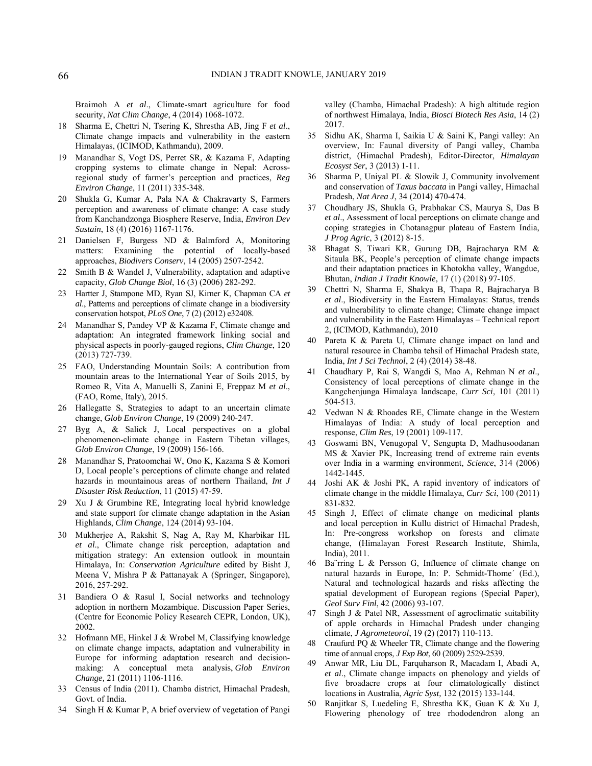Braimoh A *et al*., Climate-smart agriculture for food security, *Nat Clim Change*, 4 (2014) 1068-1072.

- 18 Sharma E, Chettri N, Tsering K, Shrestha AB, Jing F *et al*., Climate change impacts and vulnerability in the eastern Himalayas, (ICIMOD, Kathmandu), 2009.
- 19 Manandhar S, Vogt DS, Perret SR, & Kazama F, Adapting cropping systems to climate change in Nepal: Acrossregional study of farmer's perception and practices, *Reg Environ Change*, 11 (2011) 335-348.
- 20 Shukla G, Kumar A, Pala NA & Chakravarty S, Farmers perception and awareness of climate change: A case study from Kanchandzonga Biosphere Reserve, India, *Environ Dev Sustain*, 18 (4) (2016) 1167-1176.
- 21 Danielsen F, Burgess ND & Balmford A, Monitoring matters: Examining the potential of locally-based approaches, *Biodivers Conserv*, 14 (2005) 2507-2542.
- 22 Smith B & Wandel J, Vulnerability, adaptation and adaptive capacity, *Glob Change Biol*, 16 (3) (2006) 282-292.
- 23 Hartter J, Stampone MD, Ryan SJ, Kirner K, Chapman CA *et al*., Patterns and perceptions of climate change in a biodiversity conservation hotspot, *PLoS One*, 7 (2) (2012) e32408.
- 24 Manandhar S, Pandey VP & Kazama F, Climate change and adaptation: An integrated framework linking social and physical aspects in poorly-gauged regions, *Clim Change*, 120 (2013) 727-739.
- 25 FAO, Understanding Mountain Soils: A contribution from mountain areas to the International Year of Soils 2015, by Romeo R, Vita A, Manuelli S, Zanini E, Freppaz M *et al*., (FAO, Rome, Italy), 2015.
- 26 Hallegatte S, Strategies to adapt to an uncertain climate change, *Glob Environ Change*, 19 (2009) 240-247.
- 27 Byg A, & Salick J, Local perspectives on a global phenomenon-climate change in Eastern Tibetan villages, *Glob Environ Change*, 19 (2009) 156-166.
- 28 Manandhar S, Pratoomchai W, Ono K, Kazama S & Komori D, Local people's perceptions of climate change and related hazards in mountainous areas of northern Thailand, *Int J Disaster Risk Reduction*, 11 (2015) 47-59.
- 29 Xu J & Grumbine RE, Integrating local hybrid knowledge and state support for climate change adaptation in the Asian Highlands, *Clim Change*, 124 (2014) 93-104.
- 30 Mukherjee A, Rakshit S, Nag A, Ray M, Kharbikar HL *et al*., Climate change risk perception, adaptation and mitigation strategy: An extension outlook in mountain Himalaya, In: *Conservation Agriculture* edited by Bisht J, Meena V, Mishra P & Pattanayak A (Springer, Singapore), 2016, 257-292.
- 31 Bandiera O & Rasul I, Social networks and technology adoption in northern Mozambique. Discussion Paper Series, (Centre for Economic Policy Research CEPR, London, UK), 2002.
- 32 Hofmann ME, Hinkel J & Wrobel M, Classifying knowledge on climate change impacts, adaptation and vulnerability in Europe for informing adaptation research and decisionmaking: A conceptual meta analysis, *Glob Environ Change,* 21 (2011) 1106-1116.
- 33 Census of India (2011). Chamba district, Himachal Pradesh, Govt. of India.
- 34 Singh H & Kumar P, A brief overview of vegetation of Pangi

valley (Chamba, Himachal Pradesh): A high altitude region of northwest Himalaya, India, *Biosci Biotech Res Asia*, 14 (2) 2017.

- 35 Sidhu AK, Sharma I, Saikia U & Saini K, Pangi valley: An overview, In: Faunal diversity of Pangi valley, Chamba district, (Himachal Pradesh), Editor-Director, *Himalayan Ecosyst Ser*, 3 (2013) 1-11.
- 36 Sharma P, Uniyal PL & Slowik J, Community involvement and conservation of *Taxus baccata* in Pangi valley, Himachal Pradesh, *Nat Area J*, 34 (2014) 470-474.
- 37 Choudhary JS, Shukla G, Prabhakar CS, Maurya S, Das B *et al*., Assessment of local perceptions on climate change and coping strategies in Chotanagpur plateau of Eastern India, *J Prog Agric*, 3 (2012) 8-15.
- 38 Bhagat S, Tiwari KR, Gurung DB, Bajracharya RM & Sitaula BK, People's perception of climate change impacts and their adaptation practices in Khotokha valley, Wangdue, Bhutan, *Indian J Tradit Knowle,* 17 (1) (2018) 97-105.
- 39 Chettri N, Sharma E, Shakya B, Thapa R, Bajracharya B *et al*., Biodiversity in the Eastern Himalayas: Status, trends and vulnerability to climate change; Climate change impact and vulnerability in the Eastern Himalayas – Technical report 2, (ICIMOD, Kathmandu), 2010
- 40 Pareta K & Pareta U, Climate change impact on land and natural resource in Chamba tehsil of Himachal Pradesh state, India, *Int J Sci Technol*, 2 (4) (2014) 38-48.
- 41 Chaudhary P, Rai S, Wangdi S, Mao A, Rehman N *et al*., Consistency of local perceptions of climate change in the Kangchenjunga Himalaya landscape, *Curr Sci*, 101 (2011) 504-513.
- 42 Vedwan N & Rhoades RE, Climate change in the Western Himalayas of India: A study of local perception and response, *Clim Res*, 19 (2001) 109-117.
- 43 Goswami BN, Venugopal V, Sengupta D, Madhusoodanan MS & Xavier PK, Increasing trend of extreme rain events over India in a warming environment, *Science*, 314 (2006) 1442-1445.
- 44 Joshi AK & Joshi PK, A rapid inventory of indicators of climate change in the middle Himalaya, *Curr Sci*, 100 (2011) 831-832.
- 45 Singh J, Effect of climate change on medicinal plants and local perception in Kullu district of Himachal Pradesh, In: Pre-congress workshop on forests and climate change, (Himalayan Forest Research Institute, Shimla, India), 2011.
- 46 Ba¨rring L & Persson G, Influence of climate change on natural hazards in Europe, In: P. Schmidt-Thome´ (Ed.), Natural and technological hazards and risks affecting the spatial development of European regions (Special Paper), *Geol Surv Finl*, 42 (2006) 93-107.
- 47 Singh J & Patel NR, Assessment of agroclimatic suitability of apple orchards in Himachal Pradesh under changing climate, *J Agrometeorol*, 19 (2) (2017) 110-113.
- 48 Craufurd PQ & Wheeler TR, Climate change and the flowering time of annual crops, *J Exp Bot*, 60 (2009) 2529-2539.
- 49 Anwar MR, Liu DL, Farquharson R, Macadam I, Abadi A, *et al*., Climate change impacts on phenology and yields of five broadacre crops at four climatologically distinct locations in Australia, *Agric Syst,* 132 (2015) 133-144.
- 50 Ranjitkar S, Luedeling E, Shrestha KK, Guan K & Xu J, Flowering phenology of tree rhododendron along an